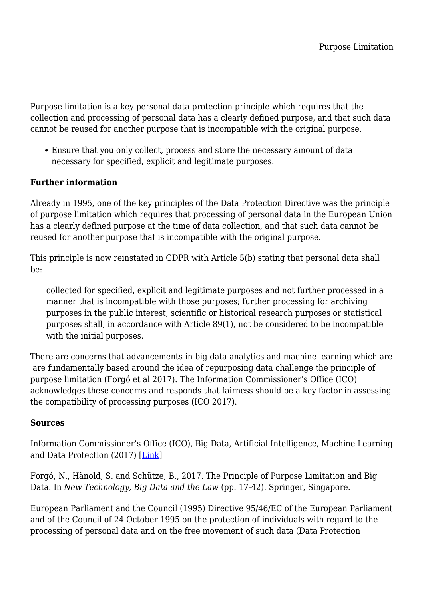Purpose limitation is a key personal data protection principle which requires that the collection and processing of personal data has a clearly defined purpose, and that such data cannot be reused for another purpose that is incompatible with the original purpose.

Ensure that you only collect, process and store the necessary amount of data necessary for specified, explicit and legitimate purposes.

## **Further information**

Already in 1995, one of the key principles of the Data Protection Directive was the principle of purpose limitation which requires that processing of personal data in the European Union has a clearly defined purpose at the time of data collection, and that such data cannot be reused for another purpose that is incompatible with the original purpose.

This principle is now reinstated in GDPR with Article 5(b) stating that personal data shall be:

collected for specified, explicit and legitimate purposes and not further processed in a manner that is incompatible with those purposes; further processing for archiving purposes in the public interest, scientific or historical research purposes or statistical purposes shall, in accordance with Article 89(1), not be considered to be incompatible with the initial purposes.

There are concerns that advancements in big data analytics and machine learning which are are fundamentally based around the idea of repurposing data challenge the principle of purpose limitation (Forgó et al 2017). The Information Commissioner's Office (ICO) acknowledges these concerns and responds that fairness should be a key factor in assessing the compatibility of processing purposes (ICO 2017).

## **Sources**

Information Commissioner's Office (ICO), Big Data, Artificial Intelligence, Machine Learning and Data Protection (2017) [\[Link\]](https://ico.org.uk/media/for-organisations/documents/2013559/big-data-ai-ml-and-data-protection.pdf)

Forgó, N., Hänold, S. and Schütze, B., 2017. The Principle of Purpose Limitation and Big Data. In *New Technology, Big Data and the Law* (pp. 17-42). Springer, Singapore.

European Parliament and the Council (1995) Directive 95/46/EC of the European Parliament and of the Council of 24 October 1995 on the protection of individuals with regard to the processing of personal data and on the free movement of such data (Data Protection